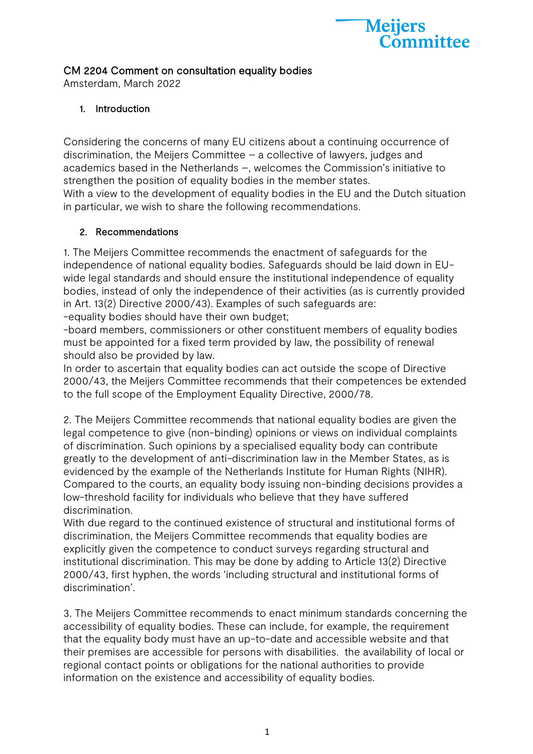

## CM 2204 Comment on consultation equality bodies

Amsterdam, March 2022

## 1. Introduction

Considering the concerns of many EU citizens about a continuing occurrence of discrimination, the Meijers Committee – a collective of lawyers, judges and academics based in the Netherlands –, welcomes the Commission's initiative to strengthen the position of equality bodies in the member states. With a view to the development of equality bodies in the EU and the Dutch situation in particular, we wish to share the following recommendations.

## 2. Recommendations

1. The Meijers Committee recommends the enactment of safeguards for the independence of national equality bodies. Safeguards should be laid down in EUwide legal standards and should ensure the institutional independence of equality bodies, instead of only the independence of their activities (as is currently provided in Art. 13(2) Directive 2000/43). Examples of such safeguards are:

-equality bodies should have their own budget;

-board members, commissioners or other constituent members of equality bodies must be appointed for a fixed term provided by law, the possibility of renewal should also be provided by law.

In order to ascertain that equality bodies can act outside the scope of Directive 2000/43, the Meijers Committee recommends that their competences be extended to the full scope of the Employment Equality Directive, 2000/78.

2. The Meijers Committee recommends that national equality bodies are given the legal competence to give (non-binding) opinions or views on individual complaints of discrimination. Such opinions by a specialised equality body can contribute greatly to the development of anti-discrimination law in the Member States, as is evidenced by the example of the Netherlands Institute for Human Rights (NIHR). Compared to the courts, an equality body issuing non-binding decisions provides a low-threshold facility for individuals who believe that they have suffered discrimination.

With due regard to the continued existence of structural and institutional forms of discrimination, the Meijers Committee recommends that equality bodies are explicitly given the competence to conduct surveys regarding structural and institutional discrimination. This may be done by adding to Article 13(2) Directive 2000/43, first hyphen, the words 'including structural and institutional forms of discrimination'.

3. The Meijers Committee recommends to enact minimum standards concerning the accessibility of equality bodies. These can include, for example, the requirement that the equality body must have an up-to-date and accessible website and that their premises are accessible for persons with disabilities. the availability of local or regional contact points or obligations for the national authorities to provide information on the existence and accessibility of equality bodies.